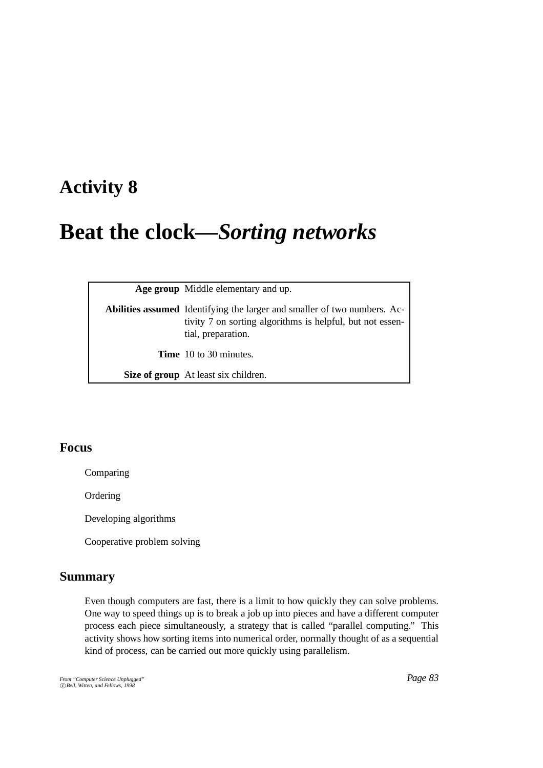# **Activity 8**

# **Beat the clock—***Sorting networks*

**Age group** Middle elementary and up.

| <b>Abilities assumed</b> Identifying the larger and smaller of two numbers. Ac-<br>tivity 7 on sorting algorithms is helpful, but not essen-<br>tial, preparation. |
|--------------------------------------------------------------------------------------------------------------------------------------------------------------------|
| <b>Time</b> 10 to 30 minutes.                                                                                                                                      |
| Size of group At least six children.                                                                                                                               |

# **Focus**

Comparing

Ordering

Developing algorithms

Cooperative problem solving

# **Summary**

Even though computers are fast, there is a limit to how quickly they can solve problems. One way to speed things up is to break a job up into pieces and have a different computer process each piece simultaneously, a strategy that is called "parallel computing." This activity shows how sorting items into numerical order, normally thought of as a sequential kind of process, can be carried out more quickly using parallelism.

*From "Computer Science Unplugged"* c *Bell, Witten, and Fellows, 1998*

*Page 83*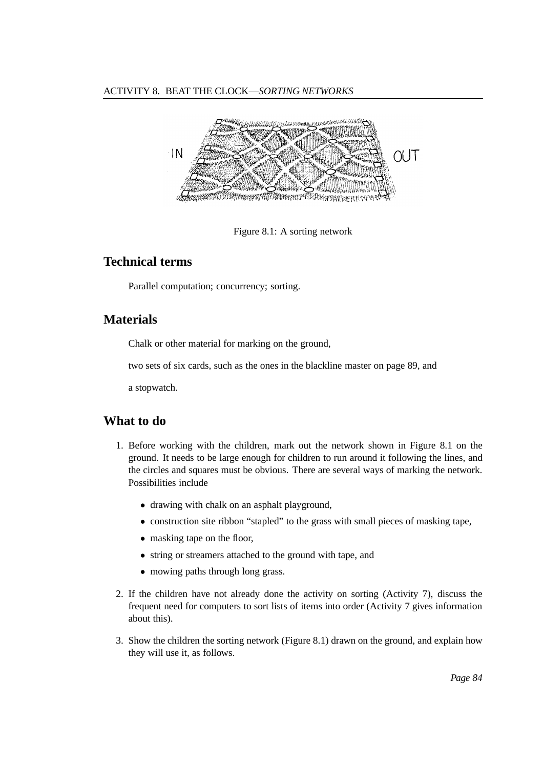#### ACTIVITY 8. BEAT THE CLOCK—*SORTING NETWORKS*



Figure 8.1: A sorting network

# **Technical terms**

Parallel computation; concurrency; sorting.

# **Materials**

Chalk or other material for marking on the ground,

two sets of six cards, such as the ones in the blackline master on page 89, and

a stopwatch.

# **What to do**

- 1. Before working with the children, mark out the network shown in Figure 8.1 on the ground. It needs to be large enough for children to run around it following the lines, and the circles and squares must be obvious. There are several ways of marking the network. Possibilities include
	- drawing with chalk on an asphalt playground,
	- construction site ribbon "stapled" to the grass with small pieces of masking tape,
	- masking tape on the floor,
	- string or streamers attached to the ground with tape, and
	- mowing paths through long grass.
- 2. If the children have not already done the activity on sorting (Activity 7), discuss the frequent need for computers to sort lists of items into order (Activity 7 gives information about this).
- 3. Show the children the sorting network (Figure 8.1) drawn on the ground, and explain how they will use it, as follows.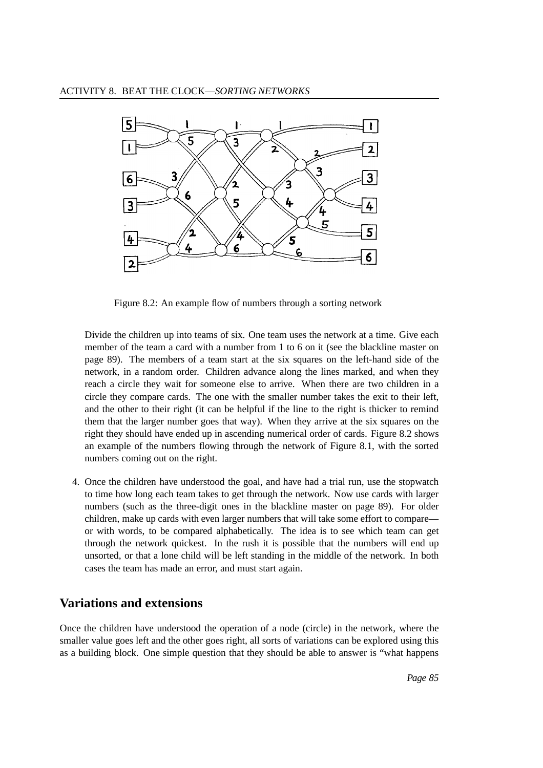

Figure 8.2: An example flow of numbers through a sorting network

Divide the children up into teams of six. One team uses the network at a time. Give each member of the team a card with a number from 1 to 6 on it (see the blackline master on page 89). The members of a team start at the six squares on the left-hand side of the network, in a random order. Children advance along the lines marked, and when they reach a circle they wait for someone else to arrive. When there are two children in a circle they compare cards. The one with the smaller number takes the exit to their left, and the other to their right (it can be helpful if the line to the right is thicker to remind them that the larger number goes that way). When they arrive at the six squares on the right they should have ended up in ascending numerical order of cards. Figure 8.2 shows an example of the numbers flowing through the network of Figure 8.1, with the sorted numbers coming out on the right.

4. Once the children have understood the goal, and have had a trial run, use the stopwatch to time how long each team takes to get through the network. Now use cards with larger numbers (such as the three-digit ones in the blackline master on page 89). For older children, make up cards with even larger numbers that will take some effort to compare or with words, to be compared alphabetically. The idea is to see which team can get through the network quickest. In the rush it is possible that the numbers will end up unsorted, or that a lone child will be left standing in the middle of the network. In both cases the team has made an error, and must start again.

#### **Variations and extensions**

Once the children have understood the operation of a node (circle) in the network, where the smaller value goes left and the other goes right, all sorts of variations can be explored using this as a building block. One simple question that they should be able to answer is "what happens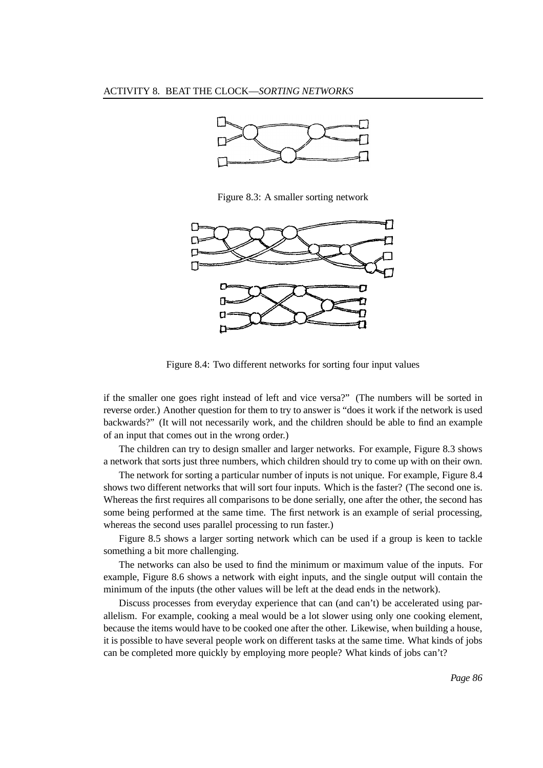

Figure 8.3: A smaller sorting network



Figure 8.4: Two different networks for sorting four input values

if the smaller one goes right instead of left and vice versa?" (The numbers will be sorted in reverse order.) Another question for them to try to answer is "does it work if the network is used backwards?" (It will not necessarily work, and the children should be able to find an example of an input that comes out in the wrong order.)

The children can try to design smaller and larger networks. For example, Figure 8.3 shows a network that sorts just three numbers, which children should try to come up with on their own.

The network for sorting a particular number of inputs is not unique. For example, Figure 8.4 shows two different networks that will sort four inputs. Which is the faster? (The second one is. Whereas the first requires all comparisons to be done serially, one after the other, the second has some being performed at the same time. The first network is an example of serial processing, whereas the second uses parallel processing to run faster.)

Figure 8.5 shows a larger sorting network which can be used if a group is keen to tackle something a bit more challenging.

The networks can also be used to find the minimum or maximum value of the inputs. For example, Figure 8.6 shows a network with eight inputs, and the single output will contain the minimum of the inputs (the other values will be left at the dead ends in the network).

Discuss processes from everyday experience that can (and can't) be accelerated using parallelism. For example, cooking a meal would be a lot slower using only one cooking element, because the items would have to be cooked one after the other. Likewise, when building a house, it is possible to have several people work on different tasks at the same time. What kinds of jobs can be completed more quickly by employing more people? What kinds of jobs can't?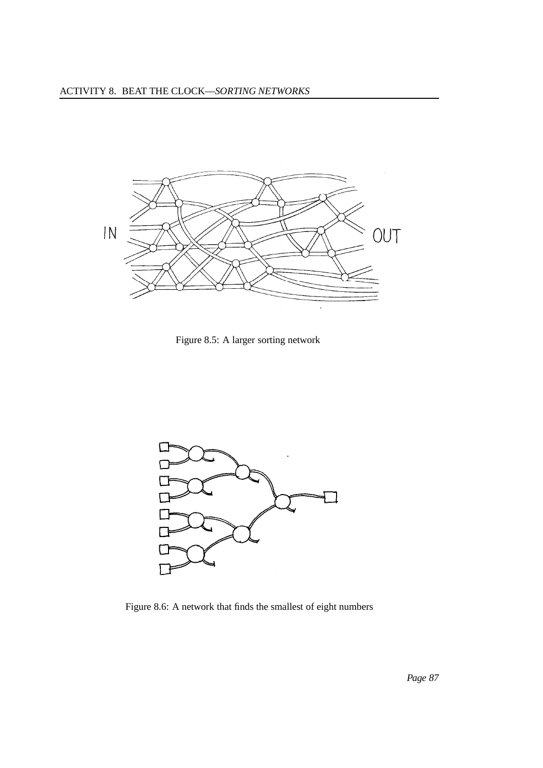

Figure 8.5: A larger sorting network



Figure 8.6: A network that finds the smallest of eight numbers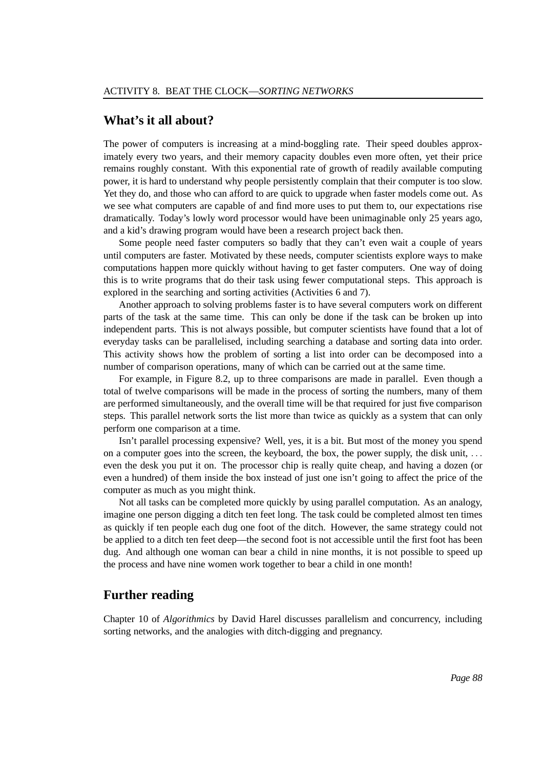#### **What's it all about?**

The power of computers is increasing at a mind-boggling rate. Their speed doubles approximately every two years, and their memory capacity doubles even more often, yet their price remains roughly constant. With this exponential rate of growth of readily available computing power, it is hard to understand why people persistently complain that their computer is too slow. Yet they do, and those who can afford to are quick to upgrade when faster models come out. As we see what computers are capable of and find more uses to put them to, our expectations rise dramatically. Today's lowly word processor would have been unimaginable only 25 years ago, and a kid's drawing program would have been a research project back then.

Some people need faster computers so badly that they can't even wait a couple of years until computers are faster. Motivated by these needs, computer scientists explore ways to make computations happen more quickly without having to get faster computers. One way of doing this is to write programs that do their task using fewer computational steps. This approach is explored in the searching and sorting activities (Activities 6 and 7).

Another approach to solving problems faster is to have several computers work on different parts of the task at the same time. This can only be done if the task can be broken up into independent parts. This is not always possible, but computer scientists have found that a lot of everyday tasks can be parallelised, including searching a database and sorting data into order. This activity shows how the problem of sorting a list into order can be decomposed into a number of comparison operations, many of which can be carried out at the same time.

For example, in Figure 8.2, up to three comparisons are made in parallel. Even though a total of twelve comparisons will be made in the process of sorting the numbers, many of them are performed simultaneously, and the overall time will be that required for just five comparison steps. This parallel network sorts the list more than twice as quickly as a system that can only perform one comparison at a time.

Isn't parallel processing expensive? Well, yes, it is a bit. But most of the money you spend on a computer goes into the screen, the keyboard, the box, the power supply, the disk unit, ... even the desk you put it on. The processor chip is really quite cheap, and having a dozen (or even a hundred) of them inside the box instead of just one isn't going to affect the price of the computer as much as you might think.

Not all tasks can be completed more quickly by using parallel computation. As an analogy, imagine one person digging a ditch ten feet long. The task could be completed almost ten times as quickly if ten people each dug one foot of the ditch. However, the same strategy could not be applied to a ditch ten feet deep—the second foot is not accessible until the first foot has been dug. And although one woman can bear a child in nine months, it is not possible to speed up the process and have nine women work together to bear a child in one month!

#### **Further reading**

Chapter 10 of *Algorithmics* by David Harel discusses parallelism and concurrency, including sorting networks, and the analogies with ditch-digging and pregnancy.